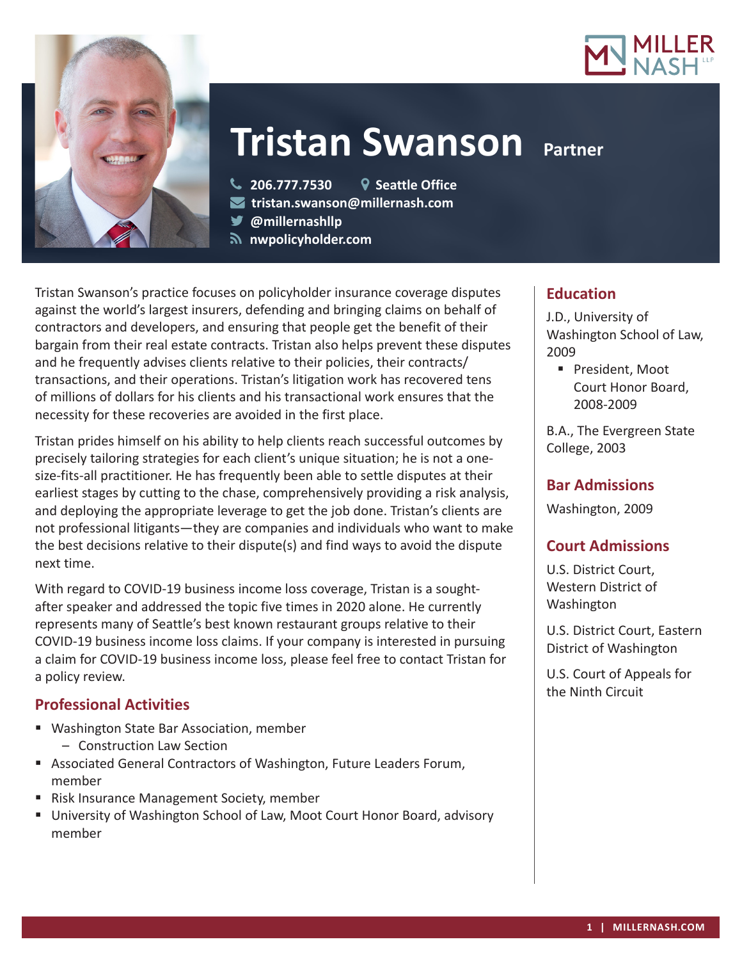



# **Tristan Swanson Partner**

**206.777.7530 Seattle Office**

- **tristan.swanson@millernash.com**
- **@millernashllp**
- **nwpolicyholder.com**

Tristan Swanson's practice focuses on policyholder insurance coverage disputes against the world's largest insurers, defending and bringing claims on behalf of contractors and developers, and ensuring that people get the benefit of their bargain from their real estate contracts. Tristan also helps prevent these disputes and he frequently advises clients relative to their policies, their contracts/ transactions, and their operations. Tristan's litigation work has recovered tens of millions of dollars for his clients and his transactional work ensures that the necessity for these recoveries are avoided in the first place.

Tristan prides himself on his ability to help clients reach successful outcomes by precisely tailoring strategies for each client's unique situation; he is not a onesize-fits-all practitioner. He has frequently been able to settle disputes at their earliest stages by cutting to the chase, comprehensively providing a risk analysis, and deploying the appropriate leverage to get the job done. Tristan's clients are not professional litigants—they are companies and individuals who want to make the best decisions relative to their dispute(s) and find ways to avoid the dispute next time.

With regard to COVID-19 business income loss coverage, Tristan is a soughtafter speaker and addressed the topic five times in 2020 alone. He currently represents many of Seattle's best known restaurant groups relative to their COVID-19 business income loss claims. If your company is interested in pursuing a claim for COVID-19 business income loss, please feel free to contact Tristan for a policy review.

# **Professional Activities**

- Washington State Bar Association, member
	- Construction Law Section
- Associated General Contractors of Washington, Future Leaders Forum, member
- Risk Insurance Management Society, member
- University of Washington School of Law, Moot Court Honor Board, advisory member

# **Education**

J.D., University of Washington School of Law, 2009

**President, Moot** Court Honor Board, 2008-2009

B.A., The Evergreen State College, 2003

# **Bar Admissions**

Washington, 2009

# **Court Admissions**

U.S. District Court, Western District of Washington

U.S. District Court, Eastern District of Washington

U.S. Court of Appeals for the Ninth Circuit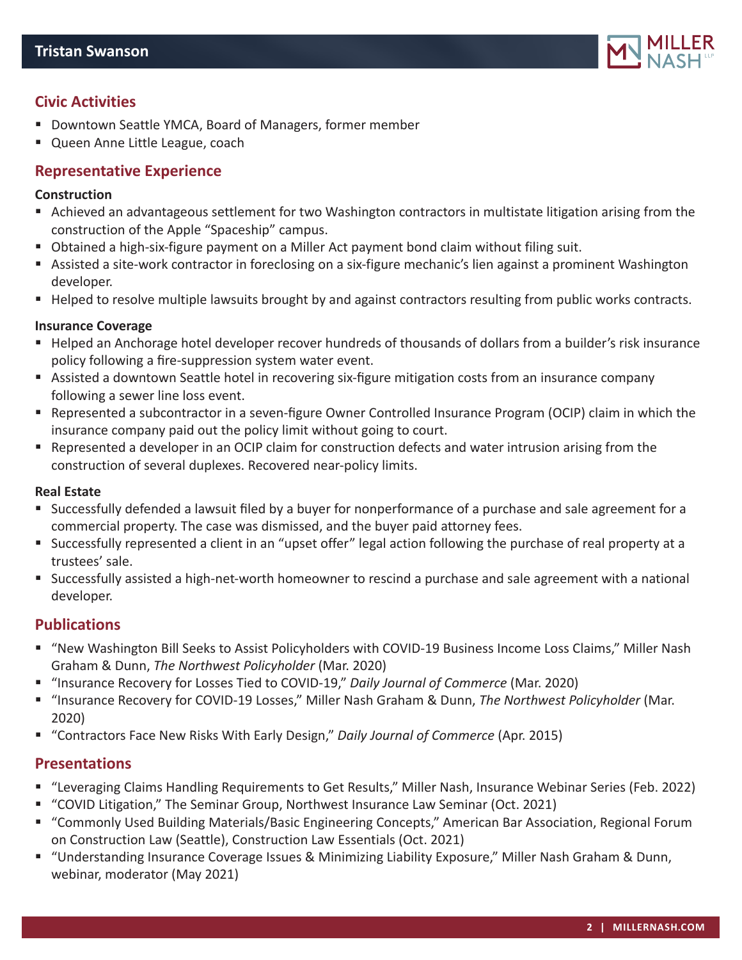

# **Civic Activities**

- Downtown Seattle YMCA, Board of Managers, former member
- Queen Anne Little League, coach

### **Representative Experience**

#### **Construction**

- Achieved an advantageous settlement for two Washington contractors in multistate litigation arising from the construction of the Apple "Spaceship" campus.
- Obtained a high-six-figure payment on a Miller Act payment bond claim without filing suit.
- Assisted a site-work contractor in foreclosing on a six-figure mechanic's lien against a prominent Washington developer.
- Helped to resolve multiple lawsuits brought by and against contractors resulting from public works contracts.

#### **Insurance Coverage**

- Helped an Anchorage hotel developer recover hundreds of thousands of dollars from a builder's risk insurance policy following a fire-suppression system water event.
- Assisted a downtown Seattle hotel in recovering six-figure mitigation costs from an insurance company following a sewer line loss event.
- Represented a subcontractor in a seven-figure Owner Controlled Insurance Program (OCIP) claim in which the insurance company paid out the policy limit without going to court.
- Represented a developer in an OCIP claim for construction defects and water intrusion arising from the construction of several duplexes. Recovered near-policy limits.

#### **Real Estate**

- Successfully defended a lawsuit filed by a buyer for nonperformance of a purchase and sale agreement for a commercial property. The case was dismissed, and the buyer paid attorney fees.
- Successfully represented a client in an "upset offer" legal action following the purchase of real property at a trustees' sale.
- Successfully assisted a high-net-worth homeowner to rescind a purchase and sale agreement with a national developer.

# **Publications**

- "New Washington Bill Seeks to Assist Policyholders with COVID-19 Business Income Loss Claims," Miller Nash Graham & Dunn, *The Northwest Policyholder* (Mar. 2020)
- "Insurance Recovery for Losses Tied to COVID-19," *Daily Journal of Commerce* (Mar. 2020)
- "Insurance Recovery for COVID-19 Losses," Miller Nash Graham & Dunn, *The Northwest Policyholder* (Mar. 2020)
- "Contractors Face New Risks With Early Design," *Daily Journal of Commerce* (Apr. 2015)

#### **Presentations**

- "Leveraging Claims Handling Requirements to Get Results," Miller Nash, Insurance Webinar Series (Feb. 2022)
- "COVID Litigation," The Seminar Group, Northwest Insurance Law Seminar (Oct. 2021)
- "Commonly Used Building Materials/Basic Engineering Concepts," American Bar Association, Regional Forum on Construction Law (Seattle), Construction Law Essentials (Oct. 2021)
- "Understanding Insurance Coverage Issues & Minimizing Liability Exposure," Miller Nash Graham & Dunn, webinar, moderator (May 2021)